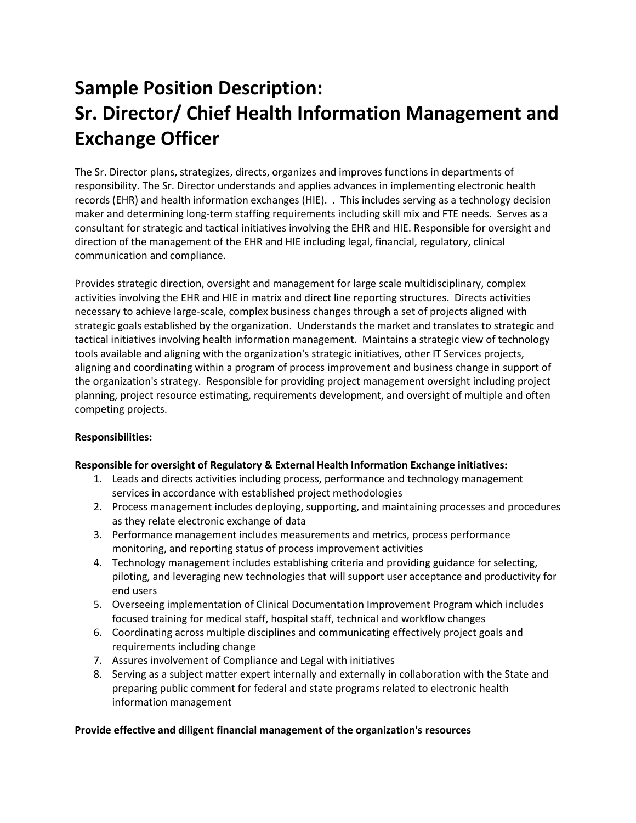# **Sample Position Description: Sr. Director/ Chief Health Information Management and Exchange Officer**

The Sr. Director plans, strategizes, directs, organizes and improves functions in departments of responsibility. The Sr. Director understands and applies advances in implementing electronic health records (EHR) and health information exchanges (HIE). . This includes serving as a technology decision maker and determining long-term staffing requirements including skill mix and FTE needs. Serves as a consultant for strategic and tactical initiatives involving the EHR and HIE. Responsible for oversight and direction of the management of the EHR and HIE including legal, financial, regulatory, clinical communication and compliance.

Provides strategic direction, oversight and management for large scale multidisciplinary, complex activities involving the EHR and HIE in matrix and direct line reporting structures. Directs activities necessary to achieve large-scale, complex business changes through a set of projects aligned with strategic goals established by the organization. Understands the market and translates to strategic and tactical initiatives involving health information management. Maintains a strategic view of technology tools available and aligning with the organization's strategic initiatives, other IT Services projects, aligning and coordinating within a program of process improvement and business change in support of the organization's strategy. Responsible for providing project management oversight including project planning, project resource estimating, requirements development, and oversight of multiple and often competing projects.

#### **Responsibilities:**

#### **Responsible for oversight of Regulatory & External Health Information Exchange initiatives:**

- 1. Leads and directs activities including process, performance and technology management services in accordance with established project methodologies
- 2. Process management includes deploying, supporting, and maintaining processes and procedures as they relate electronic exchange of data
- 3. Performance management includes measurements and metrics, process performance monitoring, and reporting status of process improvement activities
- 4. Technology management includes establishing criteria and providing guidance for selecting, piloting, and leveraging new technologies that will support user acceptance and productivity for end users
- 5. Overseeing implementation of Clinical Documentation Improvement Program which includes focused training for medical staff, hospital staff, technical and workflow changes
- 6. Coordinating across multiple disciplines and communicating effectively project goals and requirements including change
- 7. Assures involvement of Compliance and Legal with initiatives
- 8. Serving as a subject matter expert internally and externally in collaboration with the State and preparing public comment for federal and state programs related to electronic health information management

#### **Provide effective and diligent financial management of the organization's resources**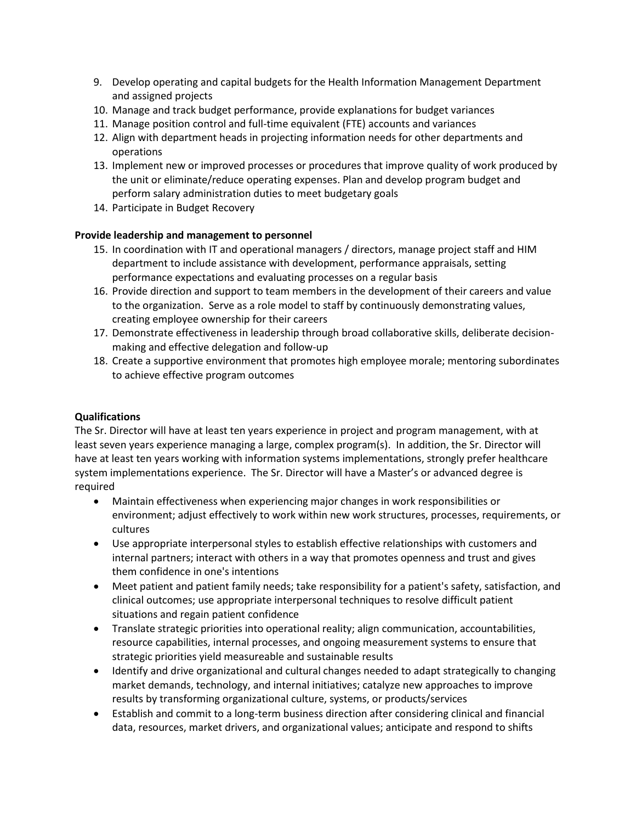- 9. Develop operating and capital budgets for the Health Information Management Department and assigned projects
- 10. Manage and track budget performance, provide explanations for budget variances
- 11. Manage position control and full-time equivalent (FTE) accounts and variances
- 12. Align with department heads in projecting information needs for other departments and operations
- 13. Implement new or improved processes or procedures that improve quality of work produced by the unit or eliminate/reduce operating expenses. Plan and develop program budget and perform salary administration duties to meet budgetary goals
- 14. Participate in Budget Recovery

#### **Provide leadership and management to personnel**

- 15. In coordination with IT and operational managers / directors, manage project staff and HIM department to include assistance with development, performance appraisals, setting performance expectations and evaluating processes on a regular basis
- 16. Provide direction and support to team members in the development of their careers and value to the organization. Serve as a role model to staff by continuously demonstrating values, creating employee ownership for their careers
- 17. Demonstrate effectiveness in leadership through broad collaborative skills, deliberate decisionmaking and effective delegation and follow-up
- 18. Create a supportive environment that promotes high employee morale; mentoring subordinates to achieve effective program outcomes

## **Qualifications**

The Sr. Director will have at least ten years experience in project and program management, with at least seven years experience managing a large, complex program(s). In addition, the Sr. Director will have at least ten years working with information systems implementations, strongly prefer healthcare system implementations experience. The Sr. Director will have a Master's or advanced degree is required

- Maintain effectiveness when experiencing major changes in work responsibilities or environment; adjust effectively to work within new work structures, processes, requirements, or cultures
- Use appropriate interpersonal styles to establish effective relationships with customers and internal partners; interact with others in a way that promotes openness and trust and gives them confidence in one's intentions
- Meet patient and patient family needs; take responsibility for a patient's safety, satisfaction, and clinical outcomes; use appropriate interpersonal techniques to resolve difficult patient situations and regain patient confidence
- Translate strategic priorities into operational reality; align communication, accountabilities, resource capabilities, internal processes, and ongoing measurement systems to ensure that strategic priorities yield measureable and sustainable results
- Identify and drive organizational and cultural changes needed to adapt strategically to changing market demands, technology, and internal initiatives; catalyze new approaches to improve results by transforming organizational culture, systems, or products/services
- Establish and commit to a long-term business direction after considering clinical and financial data, resources, market drivers, and organizational values; anticipate and respond to shifts